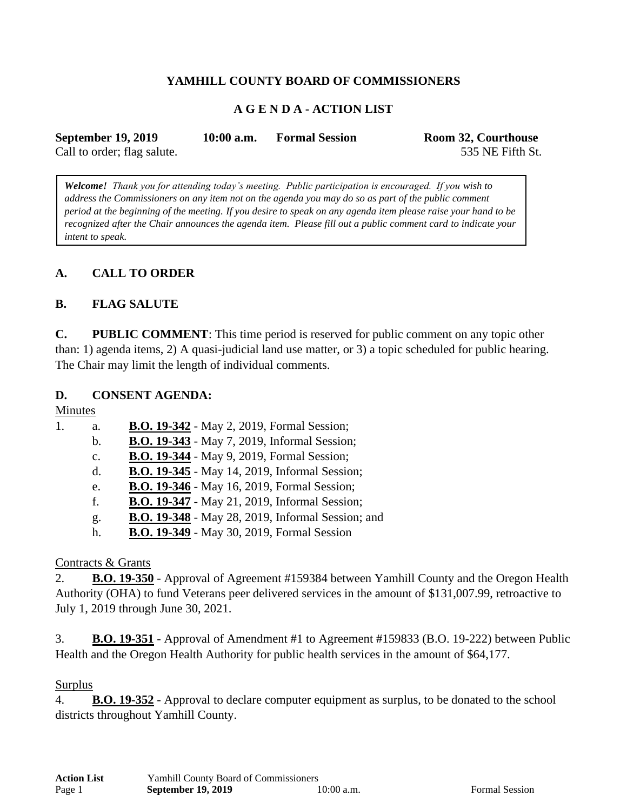### **YAMHILL COUNTY BOARD OF COMMISSIONERS**

### **A G E N D A - ACTION LIST**

| <b>September 19, 2019</b>   | $10:00$ a.m. | <b>Formal Session</b> | Room 32, Courthouse |
|-----------------------------|--------------|-----------------------|---------------------|
| Call to order; flag salute. |              |                       | 535 NE Fifth St.    |

*Welcome! Thank you for attending today's meeting. Public participation is encouraged. If you wish to address the Commissioners on any item not on the agenda you may do so as part of the public comment period at the beginning of the meeting. If you desire to speak on any agenda item please raise your hand to be recognized after the Chair announces the agenda item. Please fill out a public comment card to indicate your intent to speak.*

### **A. CALL TO ORDER**

### **B. FLAG SALUTE**

**C. PUBLIC COMMENT**: This time period is reserved for public comment on any topic other than: 1) agenda items, 2) A quasi-judicial land use matter, or 3) a topic scheduled for public hearing. The Chair may limit the length of individual comments.

#### **D. CONSENT AGENDA:**

Minutes

| 1. | a.             | <b>B.O. 19-342</b> - May 2, 2019, Formal Session;    |
|----|----------------|------------------------------------------------------|
|    | $\mathbf{b}$ . | <b>B.O. 19-343</b> - May 7, 2019, Informal Session;  |
|    | $C_{\bullet}$  | <b>B.O. 19-344</b> - May 9, 2019, Formal Session;    |
|    | $\mathbf{d}$ . | <b>B.O. 19-345</b> - May 14, 2019, Informal Session; |
|    | e.             | <b>B.O. 19-346</b> - May 16, 2019, Formal Session;   |
|    | f.             | <b>B.O. 19-347</b> - May 21, 2019, Informal Session; |
|    | g.             | B.O. 19-348 - May 28, 2019, Informal Session; and    |
|    | h.             | <b>B.O. 19-349</b> - May 30, 2019, Formal Session    |
|    |                |                                                      |

#### Contracts & Grants

2. **B.O. 19-350** - Approval of Agreement #159384 between Yamhill County and the Oregon Health Authority (OHA) to fund Veterans peer delivered services in the amount of \$131,007.99, retroactive to July 1, 2019 through June 30, 2021.

3. **B.O. 19-351** - Approval of Amendment #1 to Agreement #159833 (B.O. 19-222) between Public Health and the Oregon Health Authority for public health services in the amount of \$64,177.

#### Surplus

4. **B.O. 19-352** - Approval to declare computer equipment as surplus, to be donated to the school districts throughout Yamhill County.